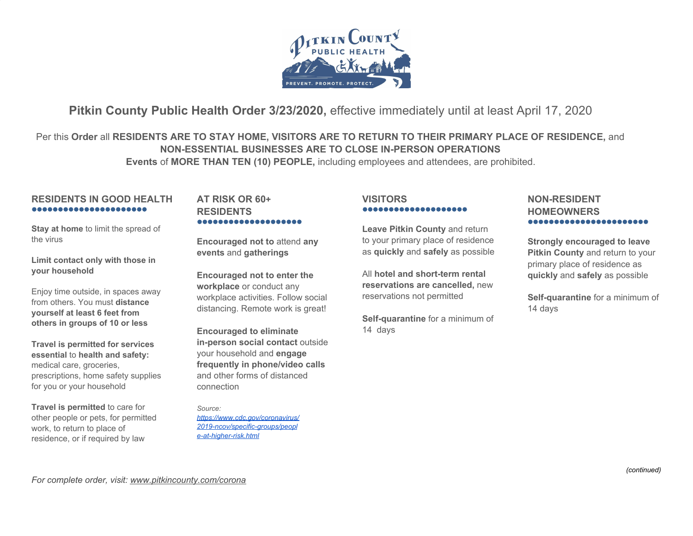

# **Pitkin County Public Health Order 3/23/2020,** effective immediately until at least April 17, 2020

Per this **Order** all **RESIDENTS ARE TO STAY HOME, VISITORS ARE TO RETURN TO THEIR PRIMARY PLACE OF RESIDENCE,** and **NON-ESSENTIAL BUSINESSES ARE TO CLOSE IN-PERSON OPERATIONS Events** of **MORE THAN TEN (10) PEOPLE,** including employees and attendees, are prohibited.

# **RESIDENTS IN GOOD HEALTH** ●●●●●●●●●●●●●●●●●●●●●●

**Stay at home** to limit the spread of the virus

**Limit contact only with those in your household**

Enjoy time outside, in spaces away from others. You must **distance yourself at least 6 feet from others in groups of 10 or less**

**Travel is permitted for services essential** to **health and safety:** medical care, groceries, prescriptions, home safety supplies for you or your household

**Travel is permitted** to care for other people or pets, for permitted work, to return to place of residence, or if required by law

# **AT RISK OR 60+ RESIDENTS** ●●●●●●●●●●●●●●●●●●●●

**Encouraged not to** attend **any events** and **gatherings**

**Encouraged not to enter the workplace** or conduct any workplace activities. Follow social distancing. Remote work is great!

**Encouraged to eliminate in-person social contact** outside your household and **engage frequently in phone/video calls** and other forms of distanced connection

*Source: [https://www.cdc.gov/coronavirus/](https://www.cdc.gov/coronavirus/2019-ncov/specific-groups/people-at-higher-risk.html) [2019-ncov/specific-groups/peopl](https://www.cdc.gov/coronavirus/2019-ncov/specific-groups/people-at-higher-risk.html) [e-at-higher-risk.html](https://www.cdc.gov/coronavirus/2019-ncov/specific-groups/people-at-higher-risk.html)*

### **VISITORS** ●●●●●●●●●●●●●●●●●●●●

**Leave Pitkin County** and return to your primary place of residence as **quickly** and **safely** as possible

All **hotel and short-term rental reservations are cancelled,** new reservations not permitted

**Self-quarantine** for a minimum of 14 days

# **NON-RESIDENT HOMEOWNERS** ●●●●●●●●●●●●●●●●●●●●●●●

**Strongly encouraged to leave Pitkin County** and return to your primary place of residence as **quickly** and **safely** as possible

**Self-quarantine** for a minimum of 14 days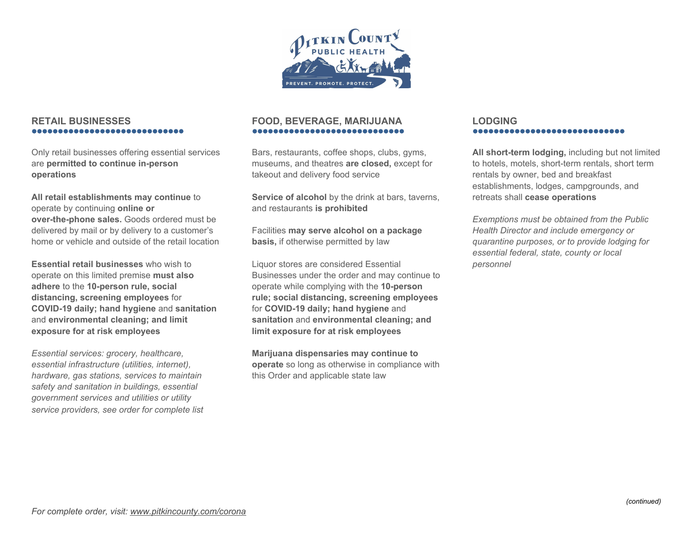

# **RETAIL BUSINESSES** ●●●●●●●●●●●●●●●●●●●●●●●●●●●●●

Only retail businesses offering essential services are **permitted to continue in-person operations**

**All retail establishments may continue** to operate by continuing **online or over-the-phone sales.** Goods ordered must be delivered by mail or by delivery to a customer's home or vehicle and outside of the retail location

**Essential retail businesses** who wish to operate on this limited premise **must also adhere** to the **10-person rule, social distancing, screening employees** for **COVID-19 daily; hand hygiene** and **sanitation** and **environmental cleaning; and limit exposure for at risk employees**

*Essential services: grocery, healthcare, essential infrastructure (utilities, internet), hardware, gas stations, services to maintain safety and sanitation in buildings, essential government services and utilities or utility service providers, see order for complete list*

# **FOOD, BEVERAGE, MARIJUANA** ●●●●●●●●●●●●●●●●●●●●●●●●●●●●●

Bars, restaurants, coffee shops, clubs, gyms, museums, and theatres **are closed,** except for takeout and delivery food service

**Service of alcohol** by the drink at bars, taverns, and restaurants **is prohibited**

Facilities **may serve alcohol on a package basis,** if otherwise permitted by law

Liquor stores are considered Essential Businesses under the order and may continue to operate while complying with the **10-person rule; social distancing, screening employees** for **COVID-19 daily; hand hygiene** and **sanitation** and **environmental cleaning; and limit exposure for at risk employees**

**Marijuana dispensaries may continue to operate** so long as otherwise in compliance with this Order and applicable state law

#### **LODGING** ●●●●●●●●●●●●●●●●●●●●●●●●●●●●●

**All short-term lodging,** including but not limited to hotels, motels, short-term rentals, short term rentals by owner, bed and breakfast establishments, lodges, campgrounds, and retreats shall **cease operations**

*Exemptions must be obtained from the Public Health Director and include emergency or quarantine purposes, or to provide lodging for essential federal, state, county or local personnel*